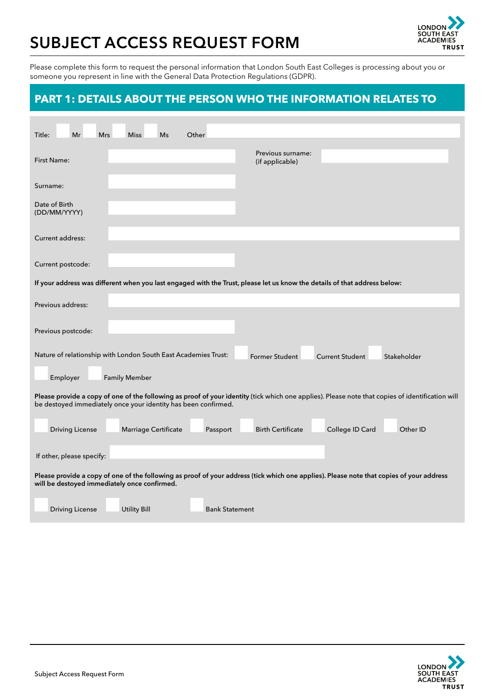# **SUBJECT ACCESS REQUEST FORM**



Please complete this form to request the personal information that London South East Colleges is processing about you or someone you represent in line with the General Data Protection Regulations (GDPR).

## **PART 1: DETAILS ABOUT THE PERSON WHO THE INFORMATION RELATES TO**

| Title:<br>Mr<br><b>Mrs</b><br><b>Miss</b><br>Ms<br>Other                                                                                                                                                           |                             |  |  |  |  |  |  |
|--------------------------------------------------------------------------------------------------------------------------------------------------------------------------------------------------------------------|-----------------------------|--|--|--|--|--|--|
| Previous surname:<br><b>First Name:</b><br>(if applicable)                                                                                                                                                         |                             |  |  |  |  |  |  |
| Surname:                                                                                                                                                                                                           |                             |  |  |  |  |  |  |
| Date of Birth<br>(DD/MM/YYYY)                                                                                                                                                                                      |                             |  |  |  |  |  |  |
| Current address:                                                                                                                                                                                                   |                             |  |  |  |  |  |  |
| Current postcode:                                                                                                                                                                                                  |                             |  |  |  |  |  |  |
| If your address was different when you last engaged with the Trust, please let us know the details of that address below:                                                                                          |                             |  |  |  |  |  |  |
| Previous address:                                                                                                                                                                                                  |                             |  |  |  |  |  |  |
| Previous postcode:                                                                                                                                                                                                 |                             |  |  |  |  |  |  |
| Nature of relationship with London South East Academies Trust:<br><b>Former Student</b><br><b>Current Student</b><br>Employer<br><b>Family Member</b>                                                              | Stakeholder                 |  |  |  |  |  |  |
| Please provide a copy of one of the following as proof of your identity (tick which one applies). Please note that copies of identification will<br>be destoyed immediately once your identity has been confirmed. |                             |  |  |  |  |  |  |
| <b>Birth Certificate</b><br>Marriage Certificate<br><b>Driving License</b><br>Passport                                                                                                                             | College ID Card<br>Other ID |  |  |  |  |  |  |
| If other, please specify:                                                                                                                                                                                          |                             |  |  |  |  |  |  |
| Please provide a copy of one of the following as proof of your address (tick which one applies). Please note that copies of your address<br>will be destoyed immediately once confirmed.                           |                             |  |  |  |  |  |  |
| <b>Utility Bill</b><br><b>Bank Statement</b><br><b>Driving License</b>                                                                                                                                             |                             |  |  |  |  |  |  |

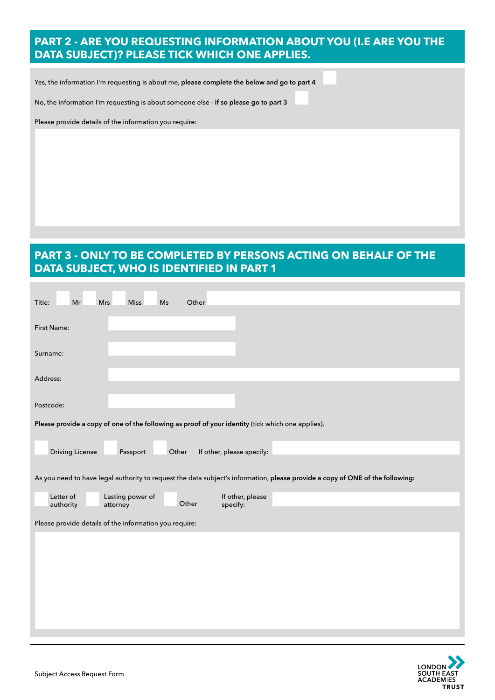#### **PART 2 - ARE YOU REQUESTING INFORMATION ABOUT YOU (I.E ARE YOU THE DATA SUBJECT)? PLEASE TICK WHICH ONE APPLIES.**

Yes, the information I'm requesting is about me, **please complete the below and go to part 4**

No, the information I'm requesting is about someone else - **if so please go to part 3**

Please provide details of the information you require:

### **PART 3 - ONLY TO BE COMPLETED BY PERSONS ACTING ON BEHALF OF THE DATA SUBJECT, WHO IS IDENTIFIED IN PART 1**

| Mr<br>Miss<br>Title:<br>Mrs<br>Ms<br>Other                                                                                    |
|-------------------------------------------------------------------------------------------------------------------------------|
| First Name:                                                                                                                   |
| Surname:                                                                                                                      |
| Address:                                                                                                                      |
| Postcode:                                                                                                                     |
| Please provide a copy of one of the following as proof of your identity (tick which one applies).                             |
| <b>Driving License</b><br>Other<br>If other, please specify:<br>Passport                                                      |
| As you need to have legal authority to request the data subject's information, please provide a copy of ONE of the following: |
| If other, please<br>Letter of<br>Lasting power of<br>Other<br>authority<br>specify:<br>attorney                               |
| Please provide details of the information you require:                                                                        |
|                                                                                                                               |
|                                                                                                                               |
|                                                                                                                               |
|                                                                                                                               |
|                                                                                                                               |